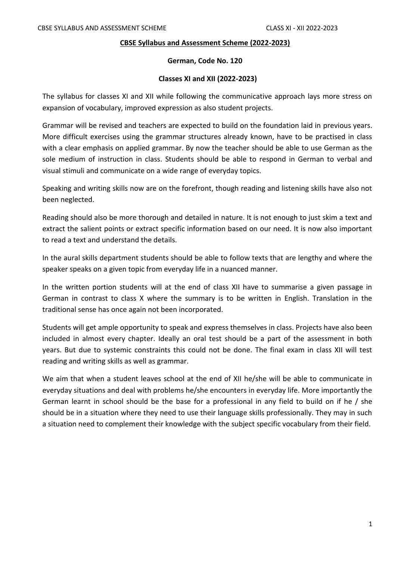#### **CBSE Syllabus and Assessment Scheme (2022-2023)**

#### **German, Code No. 120**

#### **Classes XI and XII (2022-2023)**

The syllabus for classes XI and XII while following the communicative approach lays more stress on expansion of vocabulary, improved expression as also student projects.

Grammar will be revised and teachers are expected to build on the foundation laid in previous years. More difficult exercises using the grammar structures already known, have to be practised in class with a clear emphasis on applied grammar. By now the teacher should be able to use German as the sole medium of instruction in class. Students should be able to respond in German to verbal and visual stimuli and communicate on a wide range of everyday topics.

Speaking and writing skills now are on the forefront, though reading and listening skills have also not been neglected.

Reading should also be more thorough and detailed in nature. It is not enough to just skim a text and extract the salient points or extract specific information based on our need. It is now also important to read a text and understand the details.

In the aural skills department students should be able to follow texts that are lengthy and where the speaker speaks on a given topic from everyday life in a nuanced manner.

In the written portion students will at the end of class XII have to summarise a given passage in German in contrast to class X where the summary is to be written in English. Translation in the traditional sense has once again not been incorporated.

Students will get ample opportunity to speak and express themselves in class. Projects have also been included in almost every chapter. Ideally an oral test should be a part of the assessment in both years. But due to systemic constraints this could not be done. The final exam in class XII will test reading and writing skills as well as grammar.

We aim that when a student leaves school at the end of XII he/she will be able to communicate in everyday situations and deal with problems he/she encounters in everyday life. More importantly the German learnt in school should be the base for a professional in any field to build on if he / she should be in a situation where they need to use their language skills professionally. They may in such a situation need to complement their knowledge with the subject specific vocabulary from their field.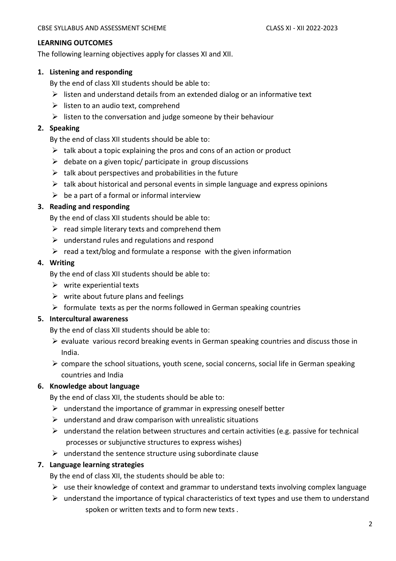#### **LEARNING OUTCOMES**

The following learning objectives apply for classes XI and XII.

#### **1. Listening and responding**

By the end of class XII students should be able to:

- $\triangleright$  listen and understand details from an extended dialog or an informative text
- $\triangleright$  listen to an audio text, comprehend
- $\triangleright$  listen to the conversation and judge someone by their behaviour

#### **2. Speaking**

By the end of class XII students should be able to:

- $\triangleright$  talk about a topic explaining the pros and cons of an action or product
- $\triangleright$  debate on a given topic/ participate in group discussions
- $\triangleright$  talk about perspectives and probabilities in the future
- $\triangleright$  talk about historical and personal events in simple language and express opinions
- $\triangleright$  be a part of a formal or informal interview

#### **3. Reading and responding**

By the end of class XII students should be able to:

- $\triangleright$  read simple literary texts and comprehend them
- $\triangleright$  understand rules and regulations and respond
- $\triangleright$  read a text/blog and formulate a response with the given information

#### **4. Writing**

By the end of class XII students should be able to:

- $\triangleright$  write experiential texts
- $\triangleright$  write about future plans and feelings
- $\triangleright$  formulate texts as per the norms followed in German speaking countries

#### **5. Intercultural awareness**

By the end of class XII students should be able to:

- $\triangleright$  evaluate various record breaking events in German speaking countries and discuss those in India.
- $\triangleright$  compare the school situations, youth scene, social concerns, social life in German speaking countries and India

### **6. Knowledge about language**

By the end of class XII, the students should be able to:

- $\triangleright$  understand the importance of grammar in expressing oneself better
- $\triangleright$  understand and draw comparison with unrealistic situations
- $\triangleright$  understand the relation between structures and certain activities (e.g. passive for technical processes or subjunctive structures to express wishes)
- $\triangleright$  understand the sentence structure using subordinate clause

### **7. Language learning strategies**

By the end of class XII, the students should be able to:

- $\triangleright$  use their knowledge of context and grammar to understand texts involving complex language
- $\triangleright$  understand the importance of typical characteristics of text types and use them to understand spoken or written texts and to form new texts .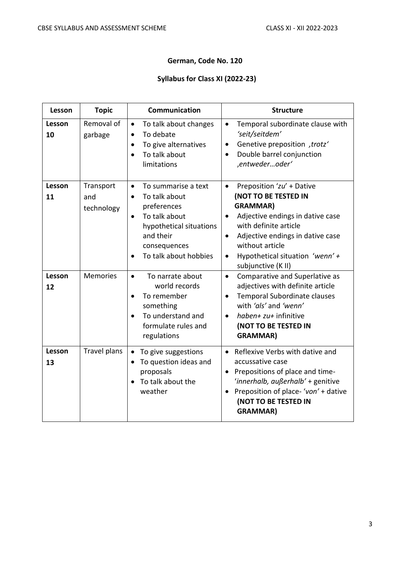# **German, Code No. 120**

# **Syllabus for Class XI (2022-23)**

| Lesson       | <b>Topic</b>                   | Communication                                                                                                                                                                                | <b>Structure</b>                                                                                                                                                                                                                                                                                      |
|--------------|--------------------------------|----------------------------------------------------------------------------------------------------------------------------------------------------------------------------------------------|-------------------------------------------------------------------------------------------------------------------------------------------------------------------------------------------------------------------------------------------------------------------------------------------------------|
| Lesson<br>10 | Removal of<br>garbage          | To talk about changes<br>$\bullet$<br>To debate<br>$\bullet$<br>To give alternatives<br>$\bullet$<br>To talk about<br>$\bullet$<br>limitations                                               | Temporal subordinate clause with<br>$\bullet$<br>'seit/seitdem'<br>Genetive preposition , trotz'<br>$\bullet$<br>Double barrel conjunction<br>$\bullet$<br>,entwederoder'                                                                                                                             |
| Lesson<br>11 | Transport<br>and<br>technology | To summarise a text<br>$\bullet$<br>To talk about<br>$\bullet$<br>preferences<br>To talk about<br>$\bullet$<br>hypothetical situations<br>and their<br>consequences<br>To talk about hobbies | Preposition 'zu' + Dative<br>$\bullet$<br>(NOT TO BE TESTED IN<br><b>GRAMMAR)</b><br>Adjective endings in dative case<br>$\bullet$<br>with definite article<br>Adjective endings in dative case<br>$\bullet$<br>without article<br>Hypothetical situation 'wenn' +<br>$\bullet$<br>subjunctive (K II) |
| Lesson<br>12 | <b>Memories</b>                | To narrate about<br>$\bullet$<br>world records<br>To remember<br>$\bullet$<br>something<br>To understand and<br>$\bullet$<br>formulate rules and<br>regulations                              | $\bullet$<br>Comparative and Superlative as<br>adjectives with definite article<br>Temporal Subordinate clauses<br>$\bullet$<br>with 'als' and 'wenn'<br>haben+ zu+ infinitive<br>$\bullet$<br>(NOT TO BE TESTED IN<br><b>GRAMMAR)</b>                                                                |
| Lesson<br>13 | <b>Travel plans</b>            | To give suggestions<br>$\bullet$<br>To question ideas and<br>proposals<br>To talk about the<br>$\bullet$<br>weather                                                                          | Reflexive Verbs with dative and<br>$\bullet$<br>accussative case<br>Prepositions of place and time-<br>'innerhalb, außerhalb' + genitive<br>Preposition of place-'von' + dative<br>(NOT TO BE TESTED IN<br><b>GRAMMAR)</b>                                                                            |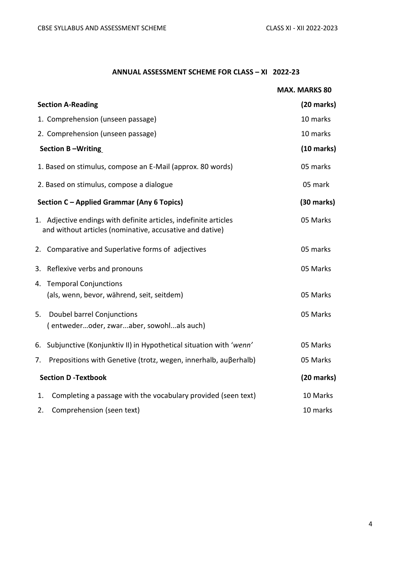## **ANNUAL ASSESSMENT SCHEME FOR CLASS – XI 2022-23**

|    |                                                                                                                              | <b>MAX. MARKS 80</b> |
|----|------------------------------------------------------------------------------------------------------------------------------|----------------------|
|    | <b>Section A-Reading</b>                                                                                                     | $(20$ marks)         |
|    | 1. Comprehension (unseen passage)                                                                                            | 10 marks             |
|    | 2. Comprehension (unseen passage)                                                                                            | 10 marks             |
|    | <b>Section B-Writing</b>                                                                                                     | $(10 \text{ marks})$ |
|    | 1. Based on stimulus, compose an E-Mail (approx. 80 words)                                                                   | 05 marks             |
|    | 2. Based on stimulus, compose a dialogue                                                                                     | 05 mark              |
|    | Section C - Applied Grammar (Any 6 Topics)                                                                                   | $(30 \text{ marks})$ |
|    | 1. Adjective endings with definite articles, indefinite articles<br>and without articles (nominative, accusative and dative) | 05 Marks             |
|    | 2. Comparative and Superlative forms of adjectives                                                                           | 05 marks             |
| 3. | Reflexive verbs and pronouns                                                                                                 | 05 Marks             |
|    | 4. Temporal Conjunctions                                                                                                     |                      |
|    | (als, wenn, bevor, während, seit, seitdem)                                                                                   | 05 Marks             |
| 5. | Doubel barrel Conjunctions                                                                                                   | 05 Marks             |
|    | (entwederoder, zwaraber, sowohlals auch)                                                                                     |                      |
| 6. | Subjunctive (Konjunktiv II) in Hypothetical situation with 'wenn'                                                            | 05 Marks             |
| 7. | Prepositions with Genetive (trotz, wegen, innerhalb, außerhalb)                                                              | 05 Marks             |
|    | <b>Section D-Textbook</b>                                                                                                    | $(20$ marks)         |
| 1. | Completing a passage with the vocabulary provided (seen text)                                                                | 10 Marks             |
| 2. | Comprehension (seen text)                                                                                                    | 10 marks             |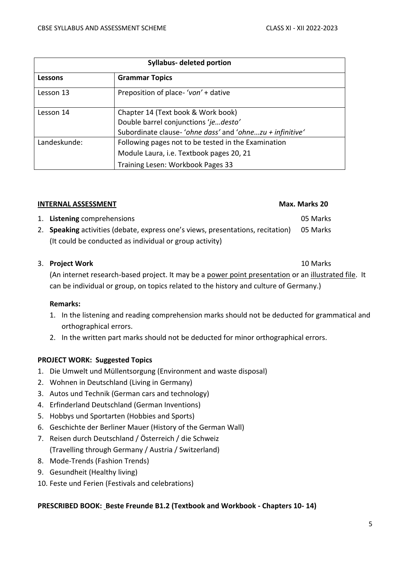| <b>Syllabus- deleted portion</b> |                                                          |  |
|----------------------------------|----------------------------------------------------------|--|
| Lessons                          | <b>Grammar Topics</b>                                    |  |
| Lesson 13                        | Preposition of place-'von' + dative                      |  |
| Lesson 14                        | Chapter 14 (Text book & Work book)                       |  |
|                                  | Double barrel conjunctions 'jedesto'                     |  |
|                                  | Subordinate clause-'ohne dass' and 'ohnezu + infinitive' |  |
| Landeskunde:                     | Following pages not to be tested in the Examination      |  |
|                                  | Module Laura, i.e. Textbook pages 20, 21                 |  |
|                                  | Training Lesen: Workbook Pages 33                        |  |

#### **INTERNAL ASSESSMENT** Max. Marks 20

#### 1. **Listening** comprehensions 05 Marks

2. **Speaking** activities (debate, express one's views, presentations, recitation) 05 Marks (It could be conducted as individual or group activity)

## 3. **Project Work** 10 Marks

(An internet research-based project. It may be a power point presentation or an illustrated file. It can be individual or group, on topics related to the history and culture of Germany.)

### **Remarks:**

- 1. In the listening and reading comprehension marks should not be deducted for grammatical and orthographical errors.
- 2. In the written part marks should not be deducted for minor orthographical errors.

# **PROJECT WORK: Suggested Topics**

- 1. Die Umwelt und Müllentsorgung (Environment and waste disposal)
- 2. Wohnen in Deutschland (Living in Germany)
- 3. Autos und Technik (German cars and technology)
- 4. Erfinderland Deutschland (German Inventions)
- 5. Hobbys und Sportarten (Hobbies and Sports)
- 6. Geschichte der Berliner Mauer (History of the German Wall)
- 7. Reisen durch Deutschland / Österreich / die Schweiz (Travelling through Germany / Austria / Switzerland)
- 8. Mode-Trends (Fashion Trends)
- 9. Gesundheit (Healthy living)
- 10. Feste und Ferien (Festivals and celebrations)

# **PRESCRIBED BOOK: Beste Freunde B1.2 (Textbook and Workbook - Chapters 10- 14)**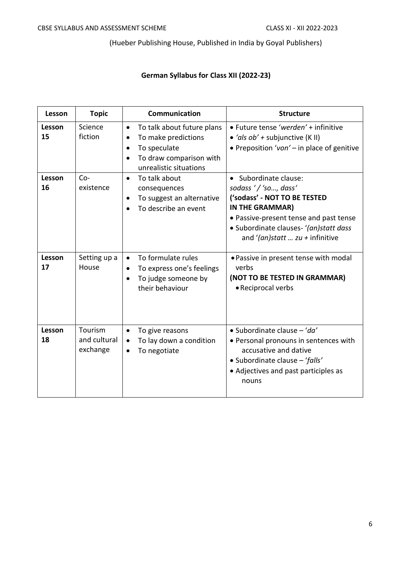(Hueber Publishing House, Published in India by Goyal Publishers)

# **German Syllabus for Class XII (2022-23)**

| Lesson       | <b>Topic</b>                        | Communication                                                                                                                                    | <b>Structure</b>                                                                                                                                                                                                        |
|--------------|-------------------------------------|--------------------------------------------------------------------------------------------------------------------------------------------------|-------------------------------------------------------------------------------------------------------------------------------------------------------------------------------------------------------------------------|
| Lesson<br>15 | Science<br>fiction                  | To talk about future plans<br>$\bullet$<br>To make predictions<br>$\bullet$<br>To speculate<br>To draw comparison with<br>unrealistic situations | • Future tense 'werden' + infinitive<br>• 'als $ob'$ + subjunctive (K II)<br>• Preposition 'von' - in place of genitive                                                                                                 |
| Lesson<br>16 | $Co-$<br>existence                  | To talk about<br>$\bullet$<br>consequences<br>To suggest an alternative<br>To describe an event                                                  | • Subordinate clause:<br>sodass '/'so, dass'<br>('sodass' - NOT TO BE TESTED<br>IN THE GRAMMAR)<br>• Passive-present tense and past tense<br>· Subordinate clauses- '(an)statt dass<br>and '(an)statt $zu +$ infinitive |
| Lesson<br>17 | Setting up a<br>House               | To formulate rules<br>$\bullet$<br>To express one's feelings<br>$\bullet$<br>To judge someone by<br>their behaviour                              | • Passive in present tense with modal<br>verbs<br>(NOT TO BE TESTED IN GRAMMAR)<br>• Reciprocal verbs                                                                                                                   |
| Lesson<br>18 | Tourism<br>and cultural<br>exchange | To give reasons<br>$\bullet$<br>To lay down a condition<br>$\bullet$<br>To negotiate<br>$\bullet$                                                | • Subordinate clause $-$ 'da'<br>• Personal pronouns in sentences with<br>accusative and dative<br>• Subordinate clause - 'falls'<br>• Adjectives and past participles as<br>nouns                                      |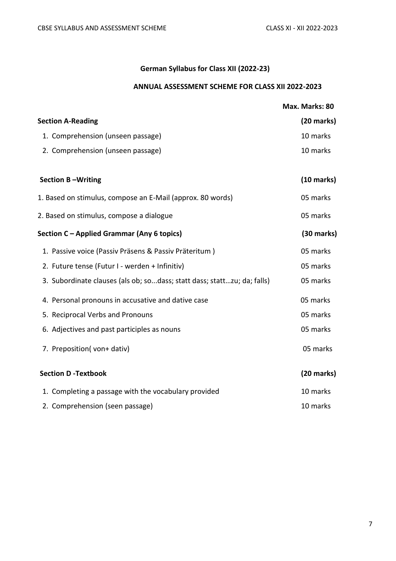# **German Syllabus for Class XII (2022-23)**

# **ANNUAL ASSESSMENT SCHEME FOR CLASS XII 2022-2023**

|                                                                         | Max. Marks: 80       |
|-------------------------------------------------------------------------|----------------------|
| <b>Section A-Reading</b>                                                | $(20$ marks)         |
| 1. Comprehension (unseen passage)                                       | 10 marks             |
| 2. Comprehension (unseen passage)                                       | 10 marks             |
| <b>Section B-Writing</b>                                                | $(10 \text{ marks})$ |
| 1. Based on stimulus, compose an E-Mail (approx. 80 words)              | 05 marks             |
| 2. Based on stimulus, compose a dialogue                                | 05 marks             |
| Section C – Applied Grammar (Any 6 topics)                              | $(30$ marks)         |
| 1. Passive voice (Passiv Präsens & Passiv Präteritum)                   | 05 marks             |
| 2. Future tense (Futur I - werden + Infinitiv)                          | 05 marks             |
| 3. Subordinate clauses (als ob; sodass; statt dass; stattzu; da; falls) | 05 marks             |
| 4. Personal pronouns in accusative and dative case                      | 05 marks             |
| 5. Reciprocal Verbs and Pronouns                                        | 05 marks             |
| 6. Adjectives and past participles as nouns                             | 05 marks             |
| 7. Preposition(von+dativ)                                               | 05 marks             |
| <b>Section D-Textbook</b>                                               | $(20$ marks)         |
| 1. Completing a passage with the vocabulary provided                    | 10 marks             |
| 2. Comprehension (seen passage)                                         | 10 marks             |